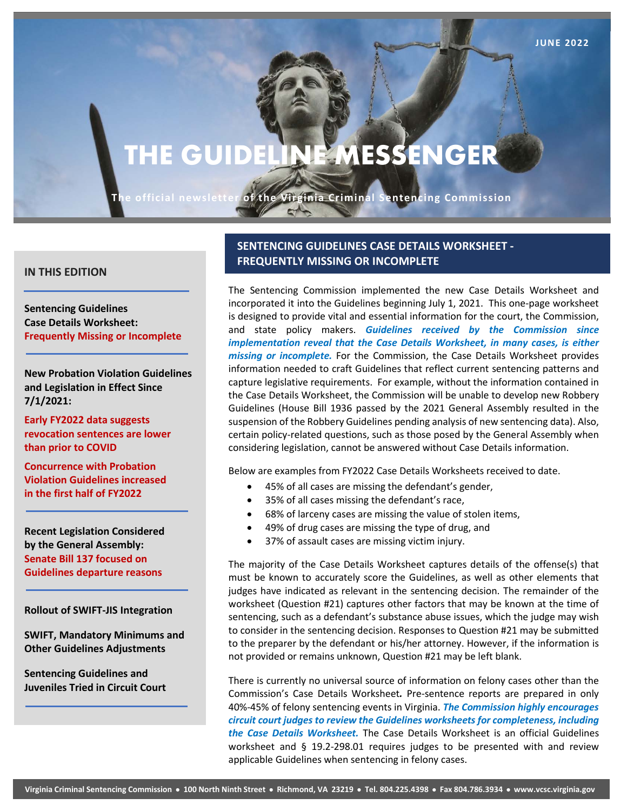# **THE GUIDELINE MESSENGER**

**JUNE 2022 Page 1**

**The official newsletter of the Virginia Criminal Sentencing Commission**

 $\mathbf{C}^{\mathcal{A}}$ 

#### **IN THIS EDITION**

**Sentencing Guidelines Case Details Worksheet: Frequently Missing or Incomplete**

**New Probation Violation Guidelines and Legislation in Effect Since 7/1/2021:**

**Early FY2022 data suggests revocation sentences are lower than prior to COVID**

**Concurrence with Probation Violation Guidelines increased in the first half of FY2022**

**Recent Legislation Considered by the General Assembly: Senate Bill 137 focused on Guidelines departure reasons**

**Rollout of SWIFT-JIS Integration**

**SWIFT, Mandatory Minimums and Other Guidelines Adjustments**

**Sentencing Guidelines and Juveniles Tried in Circuit Court**

## **SENTENCING GUIDELINES CASE DETAILS WORKSHEET - FREQUENTLY MISSING OR INCOMPLETE**

The Sentencing Commission implemented the new Case Details Worksheet and incorporated it into the Guidelines beginning July 1, 2021. This one-page worksheet is designed to provide vital and essential information for the court, the Commission, and state policy makers. *Guidelines received by the Commission since implementation reveal that the Case Details Worksheet, in many cases, is either missing or incomplete.* For the Commission, the Case Details Worksheet provides information needed to craft Guidelines that reflect current sentencing patterns and capture legislative requirements. For example, without the information contained in the Case Details Worksheet, the Commission will be unable to develop new Robbery Guidelines (House Bill 1936 passed by the 2021 General Assembly resulted in the suspension of the Robbery Guidelines pending analysis of new sentencing data). Also, certain policy-related questions, such as those posed by the General Assembly when considering legislation, cannot be answered without Case Details information.

Below are examples from FY2022 Case Details Worksheets received to date.

- 45% of all cases are missing the defendant's gender,
- 35% of all cases missing the defendant's race,
- 68% of larceny cases are missing the value of stolen items,
- 49% of drug cases are missing the type of drug, and
- 37% of assault cases are missing victim injury.

The majority of the Case Details Worksheet captures details of the offense(s) that must be known to accurately score the Guidelines, as well as other elements that judges have indicated as relevant in the sentencing decision. The remainder of the worksheet (Question #21) captures other factors that may be known at the time of sentencing, such as a defendant's substance abuse issues, which the judge may wish to consider in the sentencing decision. Responses to Question #21 may be submitted to the preparer by the defendant or his/her attorney. However, if the information is not provided or remains unknown, Question #21 may be left blank.

There is currently no universal source of information on felony cases other than the Commission's Case Details Worksheet*.* Pre-sentence reports are prepared in only 40%-45% of felony sentencing events in Virginia. *The Commission highly encourages circuit court judges to review the Guidelines worksheets for completeness, including the Case Details Worksheet.* The Case Details Worksheet is an official Guidelines worksheet and § 19.2-298.01 requires judges to be presented with and review applicable Guidelines when sentencing in felony cases.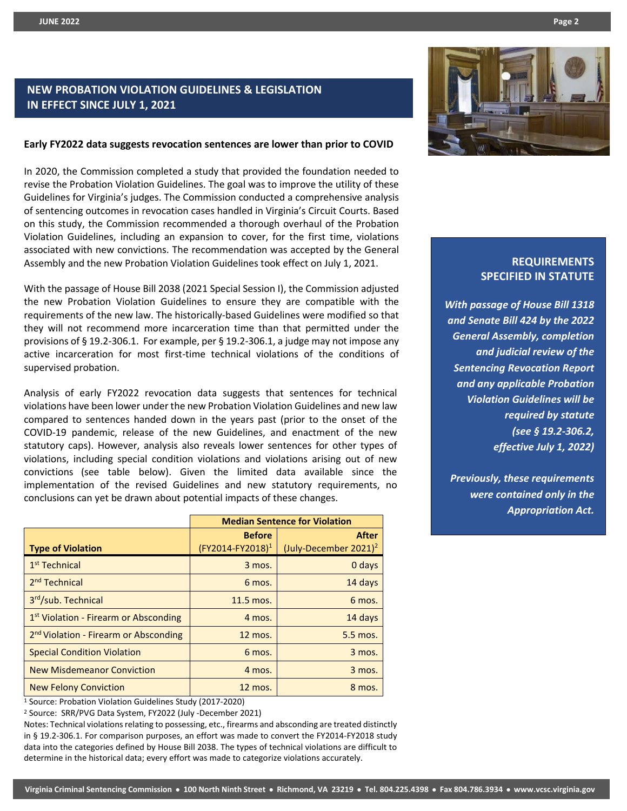# **NEW PROBATION VIOLATION GUIDELINES & LEGISLATION IN EFFECT SINCE JULY 1, 2021**

#### **Early FY2022 data suggests revocation sentences are lower than prior to COVID**

In 2020, the Commission completed a study that provided the foundation needed to revise the Probation Violation Guidelines. The goal was to improve the utility of these Guidelines for Virginia's judges. The Commission conducted a comprehensive analysis of sentencing outcomes in revocation cases handled in Virginia's Circuit Courts. Based on this study, the Commission recommended a thorough overhaul of the Probation Violation Guidelines, including an expansion to cover, for the first time, violations associated with new convictions. The recommendation was accepted by the General Assembly and the new Probation Violation Guidelines took effect on July 1, 2021.

With the passage of House Bill 2038 (2021 Special Session I), the Commission adjusted the new Probation Violation Guidelines to ensure they are compatible with the requirements of the new law. The historically-based Guidelines were modified so that they will not recommend more incarceration time than that permitted under the provisions of § 19.2-306.1. For example, per § 19.2-306.1, a judge may not impose any active incarceration for most first-time technical violations of the conditions of supervised probation.

Analysis of early FY2022 revocation data suggests that sentences for technical violations have been lower under the new Probation Violation Guidelines and new law compared to sentences handed down in the years past (prior to the onset of the COVID-19 pandemic, release of the new Guidelines, and enactment of the new statutory caps). However, analysis also reveals lower sentences for other types of violations, including special condition violations and violations arising out of new convictions (see table below). Given the limited data available since the implementation of the revised Guidelines and new statutory requirements, no conclusions can yet be drawn about potential impacts of these changes.

|                                                   | <b>Median Sentence for Violation</b>          |                                                   |  |  |  |
|---------------------------------------------------|-----------------------------------------------|---------------------------------------------------|--|--|--|
| <b>Type of Violation</b>                          | <b>Before</b><br>(FY2014-FY2018) <sup>1</sup> | <b>After</b><br>(July-December 2021) <sup>2</sup> |  |  |  |
| $1st$ Technical                                   | 3 mos.                                        | 0 days                                            |  |  |  |
| 2 <sup>nd</sup> Technical                         | 6 mos.                                        | 14 days                                           |  |  |  |
| 3rd/sub. Technical                                | $11.5$ mos.                                   | 6 mos.                                            |  |  |  |
| 1 <sup>st</sup> Violation - Firearm or Absconding | 4 mos.                                        | 14 days                                           |  |  |  |
| 2 <sup>nd</sup> Violation - Firearm or Absconding | 12 mos.                                       | 5.5 mos.                                          |  |  |  |
| <b>Special Condition Violation</b>                | 6 mos.                                        | 3 mos.                                            |  |  |  |
| <b>New Misdemeanor Conviction</b>                 | 4 mos.                                        | 3 mos.                                            |  |  |  |
| <b>New Felony Conviction</b>                      | 12 mos.                                       | 8 mos.                                            |  |  |  |

<sup>1</sup> Source: Probation Violation Guidelines Study (2017-2020)

<sup>2</sup> Source: SRR/PVG Data System, FY2022 (July -December 2021)

Notes: Technical violations relating to possessing, etc., firearms and absconding are treated distinctly in § 19.2-306.1. For comparison purposes, an effort was made to convert the FY2014-FY2018 study data into the categories defined by House Bill 2038. The types of technical violations are difficult to determine in the historical data; every effort was made to categorize violations accurately.



## **REQUIREMENTS SPECIFIED IN STATUTE**

*With passage of House Bill 1318 and Senate Bill 424 by the 2022 General Assembly, completion and judicial review of the Sentencing Revocation Report and any applicable Probation Violation Guidelines will be required by statute (see § 19.2-306.2, effective July 1, 2022)*

*Previously, these requirements were contained only in the Appropriation Act.*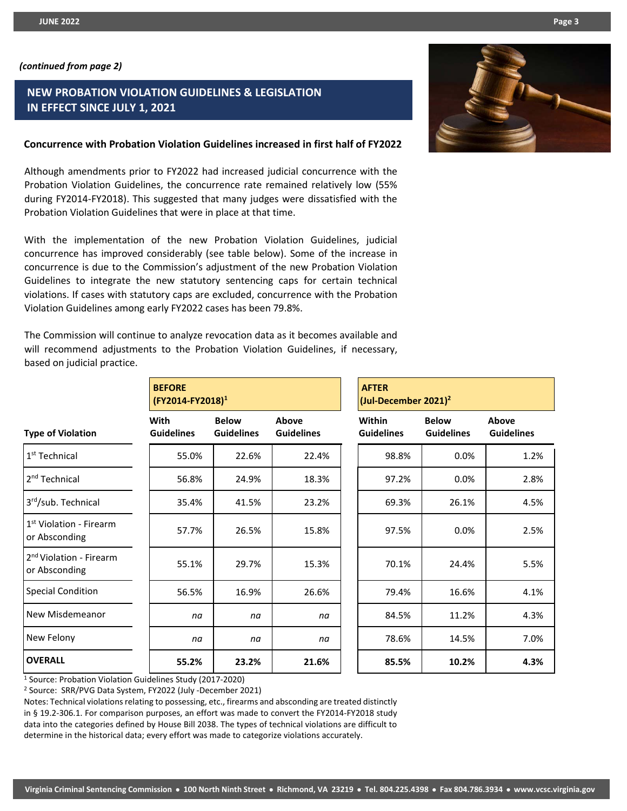# **NEW PROBATION VIOLATION GUIDELINES & LEGISLATION IN EFFECT SINCE JULY 1, 2021**

## **Concurrence with Probation Violation Guidelines increased in first half of FY2022**

Although amendments prior to FY2022 had increased judicial concurrence with the Probation Violation Guidelines, the concurrence rate remained relatively low (55% during FY2014-FY2018). This suggested that many judges were dissatisfied with the Probation Violation Guidelines that were in place at that time.

With the implementation of the new Probation Violation Guidelines, judicial concurrence has improved considerably (see table below). Some of the increase in concurrence is due to the Commission's adjustment of the new Probation Violation Guidelines to integrate the new statutory sentencing caps for certain technical violations. If cases with statutory caps are excluded, concurrence with the Probation Violation Guidelines among early FY2022 cases has been 79.8%.

The Commission will continue to analyze revocation data as it becomes available and will recommend adjustments to the Probation Violation Guidelines, if necessary, based on judicial practice.

|                                                                                   | <b>BEFORE</b><br>(FY2014-FY2018) <sup>1</sup> |                                   |                            | <b>AFTER</b><br>(Jul-December 2021) <sup>2</sup> |                                   |                            |  |
|-----------------------------------------------------------------------------------|-----------------------------------------------|-----------------------------------|----------------------------|--------------------------------------------------|-----------------------------------|----------------------------|--|
| <b>Type of Violation</b>                                                          | <b>With</b><br><b>Guidelines</b>              | <b>Below</b><br><b>Guidelines</b> | Above<br><b>Guidelines</b> | Within<br><b>Guidelines</b>                      | <b>Below</b><br><b>Guidelines</b> | Above<br><b>Guidelines</b> |  |
| 1 <sup>st</sup> Technical                                                         | 55.0%                                         | 22.6%                             | 22.4%                      | 98.8%                                            | 0.0%                              | 1.2%                       |  |
| 2 <sup>nd</sup> Technical                                                         | 56.8%                                         | 24.9%                             | 18.3%                      | 97.2%                                            | $0.0\%$                           | 2.8%                       |  |
| 3rd/sub. Technical                                                                | 35.4%                                         | 41.5%                             | 23.2%                      | 69.3%                                            | 26.1%                             | 4.5%                       |  |
| 1 <sup>st</sup> Violation - Firearm<br>or Absconding                              | 57.7%                                         | 26.5%                             | 15.8%                      | 97.5%                                            | 0.0%                              | 2.5%                       |  |
| 2 <sup>nd</sup> Violation - Firearm<br>or Absconding                              | 55.1%                                         | 29.7%                             | 15.3%                      | 70.1%                                            | 24.4%                             | 5.5%                       |  |
| <b>Special Condition</b>                                                          | 56.5%                                         | 16.9%                             | 26.6%                      | 79.4%                                            | 16.6%                             | 4.1%                       |  |
| New Misdemeanor                                                                   | na                                            | na                                | na                         | 84.5%                                            | 11.2%                             | 4.3%                       |  |
| New Felony                                                                        | na                                            | na                                | na                         | 78.6%                                            | 14.5%                             | 7.0%                       |  |
| <b>OVERALL</b><br>$10$ course Diskotion $U_2$ define Cuidelines Chudu (2017-2020) | 55.2%                                         | 23.2%                             | 21.6%                      | 85.5%                                            | 10.2%                             | 4.3%                       |  |

<sup>1</sup> Source: Probation Violation Guidelines Study (2017-2020)

<sup>2</sup> Source: SRR/PVG Data System, FY2022 (July -December 2021)

Notes: Technical violations relating to possessing, etc., firearms and absconding are treated distinctly in § 19.2-306.1. For comparison purposes, an effort was made to convert the FY2014-FY2018 study data into the categories defined by House Bill 2038. The types of technical violations are difficult to determine in the historical data; every effort was made to categorize violations accurately.

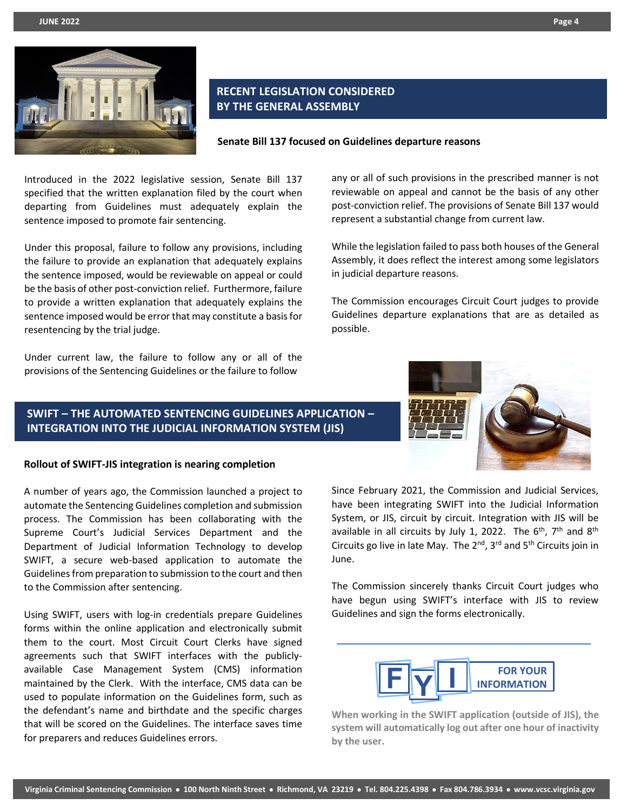

# **RECENT LEGISLATION CONSIDERED BY THE GENERAL ASSEMBLY**



Introduced in the 2022 legislative session, Senate Bill 137 specified that the written explanation filed by the court when departing from Guidelines must adequately explain the sentence imposed to promote fair sentencing.

Under this proposal, failure to follow any provisions, including the failure to provide an explanation that adequately explains the sentence imposed, would be reviewable on appeal or could be the basis of other post-conviction relief. Furthermore, failure to provide a written explanation that adequately explains the sentence imposed would be error that may constitute a basis for resentencing by the trial judge.

Under current law, the failure to follow any or all of the provisions of the Sentencing Guidelines or the failure to follow

## any or all of such provisions in the prescribed manner is not reviewable on appeal and cannot be the basis of any other post-conviction relief. The provisions of Senate Bill 137 would represent a substantial change from current law.

While the legislation failed to pass both houses of the General Assembly, it does reflect the interest among some legislators in judicial departure reasons.

The Commission encourages Circuit Court judges to provide Guidelines departure explanations that are as detailed as possible.

## **SWIFT – THE AUTOMATED SENTENCING GUIDELINES APPLICATION – INTEGRATION INTO THE JUDICIAL INFORMATION SYSTEM (JIS)**

#### **Rollout of SWIFT-JIS integration is nearing completion**

A number of years ago, the Commission launched a project to automate the Sentencing Guidelines completion and submission process. The Commission has been collaborating with the Supreme Court's Judicial Services Department and the Department of Judicial Information Technology to develop SWIFT, a secure web-based application to automate the Guidelines from preparation to submission to the court and then to the Commission after sentencing.

Using SWIFT, users with log-in credentials prepare Guidelines forms within the online application and electronically submit them to the court. Most Circuit Court Clerks have signed agreements such that SWIFT interfaces with the publiclyavailable Case Management System (CMS) information maintained by the Clerk. With the interface, CMS data can be used to populate information on the Guidelines form, such as the defendant's name and birthdate and the specific charges that will be scored on the Guidelines. The interface saves time for preparers and reduces Guidelines errors.

Since February 2021, the Commission and Judicial Services, have been integrating SWIFT into the Judicial Information System, or JIS, circuit by circuit. Integration with JIS will be available in all circuits by July 1, 2022. The  $6<sup>th</sup>$ ,  $7<sup>th</sup>$  and  $8<sup>th</sup>$ Circuits go live in late May. The  $2^{nd}$ ,  $3^{rd}$  and  $5^{th}$  Circuits join in June.

The Commission sincerely thanks Circuit Court judges who have begun using SWIFT's interface with JIS to review Guidelines and sign the forms electronically.



**When working in the SWIFT application (outside of JIS), the system will automatically log out after one hour of inactivity by the user.**

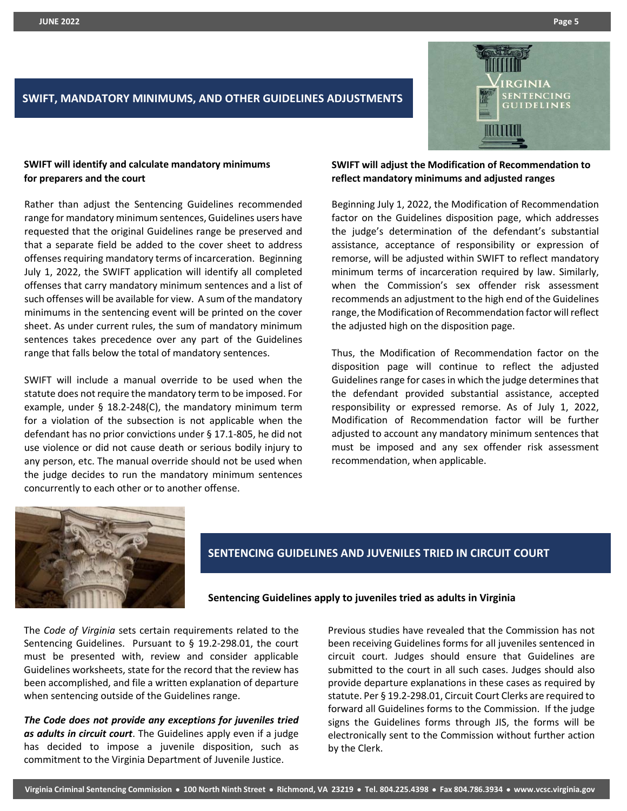

# **SWIFT, MANDATORY MINIMUMS, AND OTHER GUIDELINES ADJUSTMENTS**

## **SWIFT will identify and calculate mandatory minimums for preparers and the court**

Rather than adjust the Sentencing Guidelines recommended range for mandatory minimum sentences, Guidelines users have requested that the original Guidelines range be preserved and that a separate field be added to the cover sheet to address offenses requiring mandatory terms of incarceration. Beginning July 1, 2022, the SWIFT application will identify all completed offenses that carry mandatory minimum sentences and a list of such offenses will be available for view. A sum of the mandatory minimums in the sentencing event will be printed on the cover sheet. As under current rules, the sum of mandatory minimum sentences takes precedence over any part of the Guidelines range that falls below the total of mandatory sentences.

SWIFT will include a manual override to be used when the statute does not require the mandatory term to be imposed. For example, under § 18.2-248(C), the mandatory minimum term for a violation of the subsection is not applicable when the defendant has no prior convictions under § 17.1-805, he did not use violence or did not cause death or serious bodily injury to any person, etc. The manual override should not be used when the judge decides to run the mandatory minimum sentences concurrently to each other or to another offense.

## **SWIFT will adjust the Modification of Recommendation to reflect mandatory minimums and adjusted ranges**

Beginning July 1, 2022, the Modification of Recommendation factor on the Guidelines disposition page, which addresses the judge's determination of the defendant's substantial assistance, acceptance of responsibility or expression of remorse, will be adjusted within SWIFT to reflect mandatory minimum terms of incarceration required by law. Similarly, when the Commission's sex offender risk assessment recommends an adjustment to the high end of the Guidelines range, the Modification of Recommendation factor will reflect the adjusted high on the disposition page.

Thus, the Modification of Recommendation factor on the disposition page will continue to reflect the adjusted Guidelines range for cases in which the judge determines that the defendant provided substantial assistance, accepted responsibility or expressed remorse. As of July 1, 2022, Modification of Recommendation factor will be further adjusted to account any mandatory minimum sentences that must be imposed and any sex offender risk assessment recommendation, when applicable.



## **SENTENCING GUIDELINES AND JUVENILES TRIED IN CIRCUIT COURT**

**Sentencing Guidelines apply to juveniles tried as adults in Virginia**

The *Code of Virginia* sets certain requirements related to the Sentencing Guidelines. Pursuant to § 19.2-298.01, the court must be presented with, review and consider applicable Guidelines worksheets, state for the record that the review has been accomplished, and file a written explanation of departure when sentencing outside of the Guidelines range.

*The Code does not provide any exceptions for juveniles tried as adults in circuit court*. The Guidelines apply even if a judge has decided to impose a juvenile disposition, such as commitment to the Virginia Department of Juvenile Justice.

Previous studies have revealed that the Commission has not been receiving Guidelines forms for all juveniles sentenced in circuit court. Judges should ensure that Guidelines are submitted to the court in all such cases. Judges should also provide departure explanations in these cases as required by statute. Per § 19.2-298.01, Circuit Court Clerks are required to forward all Guidelines forms to the Commission. If the judge signs the Guidelines forms through JIS, the forms will be electronically sent to the Commission without further action by the Clerk.